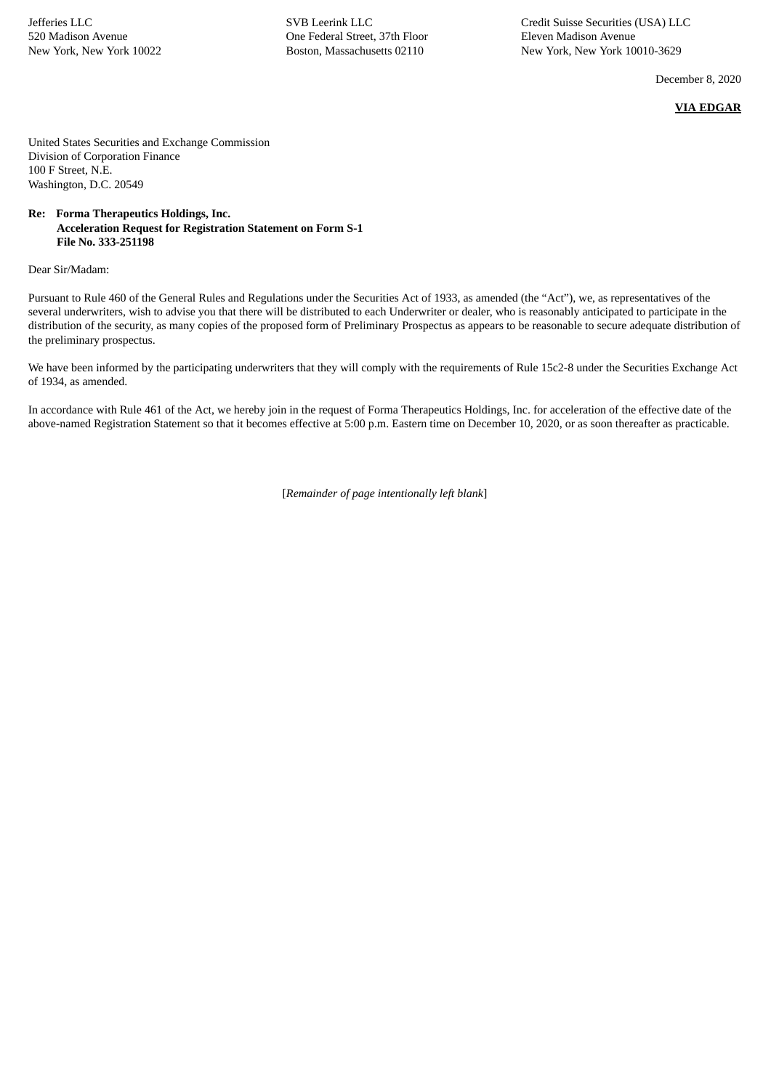Jefferies LLC 520 Madison Avenue New York, New York 10022 SVB Leerink LLC One Federal Street, 37th Floor Boston, Massachusetts 02110

Credit Suisse Securities (USA) LLC Eleven Madison Avenue New York, New York 10010-3629

December 8, 2020

**VIA EDGAR**

United States Securities and Exchange Commission Division of Corporation Finance 100 F Street, N.E. Washington, D.C. 20549

## **Re: Forma Therapeutics Holdings, Inc. Acceleration Request for Registration Statement on Form S-1 File No. 333-251198**

Dear Sir/Madam:

Pursuant to Rule 460 of the General Rules and Regulations under the Securities Act of 1933, as amended (the "Act"), we, as representatives of the several underwriters, wish to advise you that there will be distributed to each Underwriter or dealer, who is reasonably anticipated to participate in the distribution of the security, as many copies of the proposed form of Preliminary Prospectus as appears to be reasonable to secure adequate distribution of the preliminary prospectus.

We have been informed by the participating underwriters that they will comply with the requirements of Rule 15c2-8 under the Securities Exchange Act of 1934, as amended.

In accordance with Rule 461 of the Act, we hereby join in the request of Forma Therapeutics Holdings, Inc. for acceleration of the effective date of the above-named Registration Statement so that it becomes effective at 5:00 p.m. Eastern time on December 10, 2020, or as soon thereafter as practicable.

[*Remainder of page intentionally left blank*]